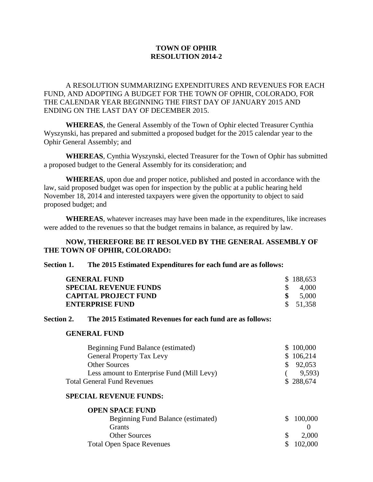## **TOWN OF OPHIR RESOLUTION 2014-2**

A RESOLUTION SUMMARIZING EXPENDITURES AND REVENUES FOR EACH FUND, AND ADOPTING A BUDGET FOR THE TOWN OF OPHIR, COLORADO, FOR THE CALENDAR YEAR BEGINNING THE FIRST DAY OF JANUARY 2015 AND ENDING ON THE LAST DAY OF DECEMBER 2015.

**WHEREAS**, the General Assembly of the Town of Ophir elected Treasurer Cynthia Wyszynski, has prepared and submitted a proposed budget for the 2015 calendar year to the Ophir General Assembly; and

**WHEREAS**, Cynthia Wyszynski, elected Treasurer for the Town of Ophir has submitted a proposed budget to the General Assembly for its consideration; and

**WHEREAS**, upon due and proper notice, published and posted in accordance with the law, said proposed budget was open for inspection by the public at a public hearing held November 18, 2014 and interested taxpayers were given the opportunity to object to said proposed budget; and

**WHEREAS**, whatever increases may have been made in the expenditures, like increases were added to the revenues so that the budget remains in balance, as required by law.

## **NOW, THEREFORE BE IT RESOLVED BY THE GENERAL ASSEMBLY OF THE TOWN OF OPHIR, COLORADO:**

### **Section 1. The 2015 Estimated Expenditures for each fund are as follows:**

| <b>GENERAL FUND</b>          | \$188,653 |
|------------------------------|-----------|
| <b>SPECIAL REVENUE FUNDS</b> | 4,000     |
| <b>CAPITAL PROJECT FUND</b>  | 5,000     |
| <b>ENTERPRISE FUND</b>       | \$51,358  |

### **Section 2. The 2015 Estimated Revenues for each fund are as follows:**

#### **GENERAL FUND**

| Beginning Fund Balance (estimated)         | \$100,000         |
|--------------------------------------------|-------------------|
| <b>General Property Tax Levy</b>           | \$106,214         |
| <b>Other Sources</b>                       | $\frac{$}{2.053}$ |
| Less amount to Enterprise Fund (Mill Levy) | 9,593)            |
| <b>Total General Fund Revenues</b>         | \$288,674         |

#### **SPECIAL REVENUE FUNDS:**

**OPEN SPACE FUND**

| \$100,000 |
|-----------|
|           |
| 2,000     |
| \$102,000 |
|           |